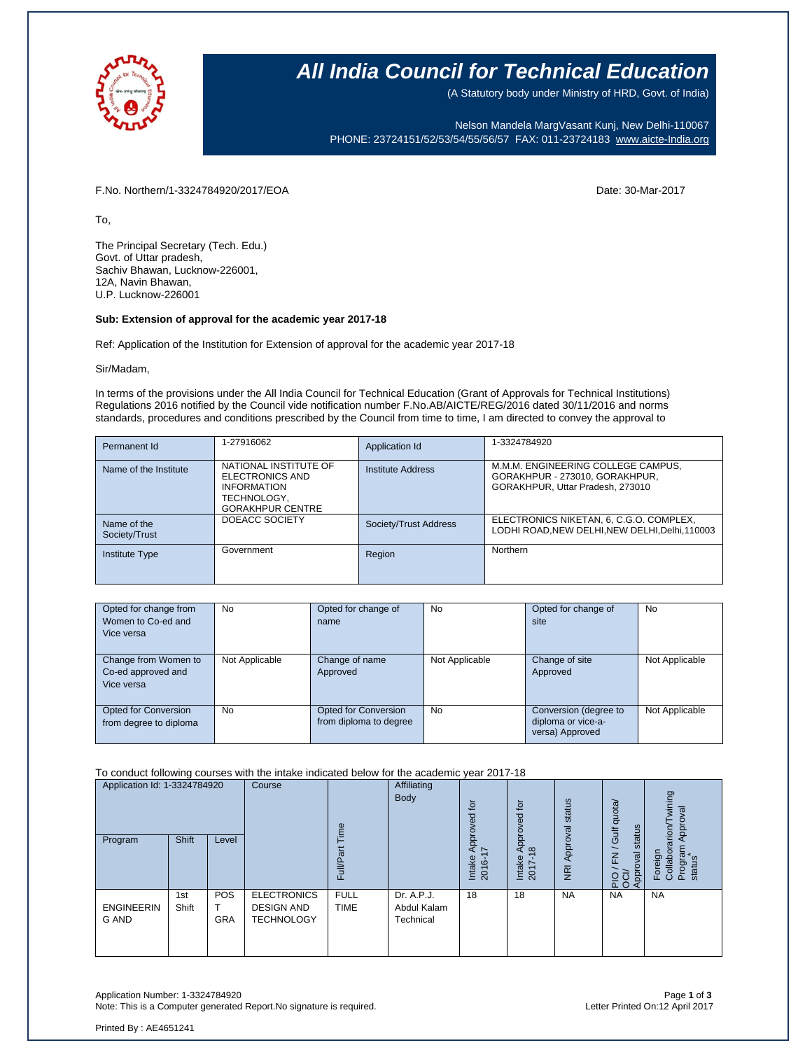

### **All India Council for Technical Education**

(A Statutory body under Ministry of HRD, Govt. of India)

Nelson Mandela MargVasant Kunj, New Delhi-110067 PHONE: 23724151/52/53/54/55/56/57 FAX: 011-23724183 [www.aicte-India.org](http://www.aicte-india.org/)

F.No. Northern/1-3324784920/2017/EOA Date: 30-Mar-2017

To,

The Principal Secretary (Tech. Edu.) Govt. of Uttar pradesh, Sachiv Bhawan, Lucknow-226001, 12A, Navin Bhawan, U.P. Lucknow-226001

#### **Sub: Extension of approval for the academic year 2017-18**

Ref: Application of the Institution for Extension of approval for the academic year 2017-18

#### Sir/Madam,

In terms of the provisions under the All India Council for Technical Education (Grant of Approvals for Technical Institutions) Regulations 2016 notified by the Council vide notification number F.No.AB/AICTE/REG/2016 dated 30/11/2016 and norms standards, procedures and conditions prescribed by the Council from time to time, I am directed to convey the approval to

| Permanent Id                 | 1-27916062                                                                                               | Application Id        | 1-3324784920                                                                                             |
|------------------------------|----------------------------------------------------------------------------------------------------------|-----------------------|----------------------------------------------------------------------------------------------------------|
| Name of the Institute        | NATIONAL INSTITUTE OF<br>ELECTRONICS AND<br><b>INFORMATION</b><br>TECHNOLOGY,<br><b>GORAKHPUR CENTRE</b> | Institute Address     | M.M.M. ENGINEERING COLLEGE CAMPUS,<br>GORAKHPUR - 273010, GORAKHPUR,<br>GORAKHPUR, Uttar Pradesh, 273010 |
| Name of the<br>Society/Trust | DOEACC SOCIETY                                                                                           | Society/Trust Address | ELECTRONICS NIKETAN, 6, C.G.O. COMPLEX,<br>LODHI ROAD, NEW DELHI, NEW DELHI, Delhi, 110003               |
| <b>Institute Type</b>        | Government                                                                                               | Region                | Northern                                                                                                 |

| Opted for change from  | No             | Opted for change of    | <b>No</b>      | Opted for change of   | <b>No</b>      |
|------------------------|----------------|------------------------|----------------|-----------------------|----------------|
| Women to Co-ed and     |                | name                   |                | site                  |                |
| Vice versa             |                |                        |                |                       |                |
|                        |                |                        |                |                       |                |
| Change from Women to   | Not Applicable | Change of name         | Not Applicable | Change of site        | Not Applicable |
| Co-ed approved and     |                | Approved               |                | Approved              |                |
| Vice versa             |                |                        |                |                       |                |
|                        |                |                        |                |                       |                |
| Opted for Conversion   | <b>No</b>      | Opted for Conversion   | <b>No</b>      | Conversion (degree to | Not Applicable |
| from degree to diploma |                | from diploma to degree |                | diploma or vice-a-    |                |
|                        |                |                        |                | versa) Approved       |                |

To conduct following courses with the intake indicated below for the academic year 2017-18

| Application Id: 1-3324784920      |              | Course                   | Φ                                                            |                            | ίō<br>ರ<br>Φ<br>o                      | Approved for                 | status                          | dnota/<br>status<br>Gulf   | wining<br>ख़<br><b>Appro</b><br>$\alpha$ non $\pi$ |                                           |
|-----------------------------------|--------------|--------------------------|--------------------------------------------------------------|----------------------------|----------------------------------------|------------------------------|---------------------------------|----------------------------|----------------------------------------------------|-------------------------------------------|
| Program                           | <b>Shift</b> | Level                    |                                                              | π<br>≣<br>ட                |                                        | Appr<br>7<br>Intake<br>2016- | $\frac{8}{2}$<br>Intake<br>2017 | Approval<br>$\overline{R}$ | pproval<br>준<br>$\overline{Q}$ ਹੌ<br>ΔÓ<br>ৰ       | Foreign<br>Collabora<br>Program<br>status |
| <b>ENGINEERIN</b><br><b>G AND</b> | 1st<br>Shift | <b>POS</b><br><b>GRA</b> | <b>ELECTRONICS</b><br><b>DESIGN AND</b><br><b>TECHNOLOGY</b> | <b>FULL</b><br><b>TIME</b> | Dr. A.P.J.<br>Abdul Kalam<br>Technical | 18                           | 18                              | <b>NA</b>                  | <b>NA</b>                                          | <b>NA</b>                                 |

Application Number: 1-3324784920 Page **1** of **3** Note: This is a Computer generated Report.No signature is required.

Printed By : AE4651241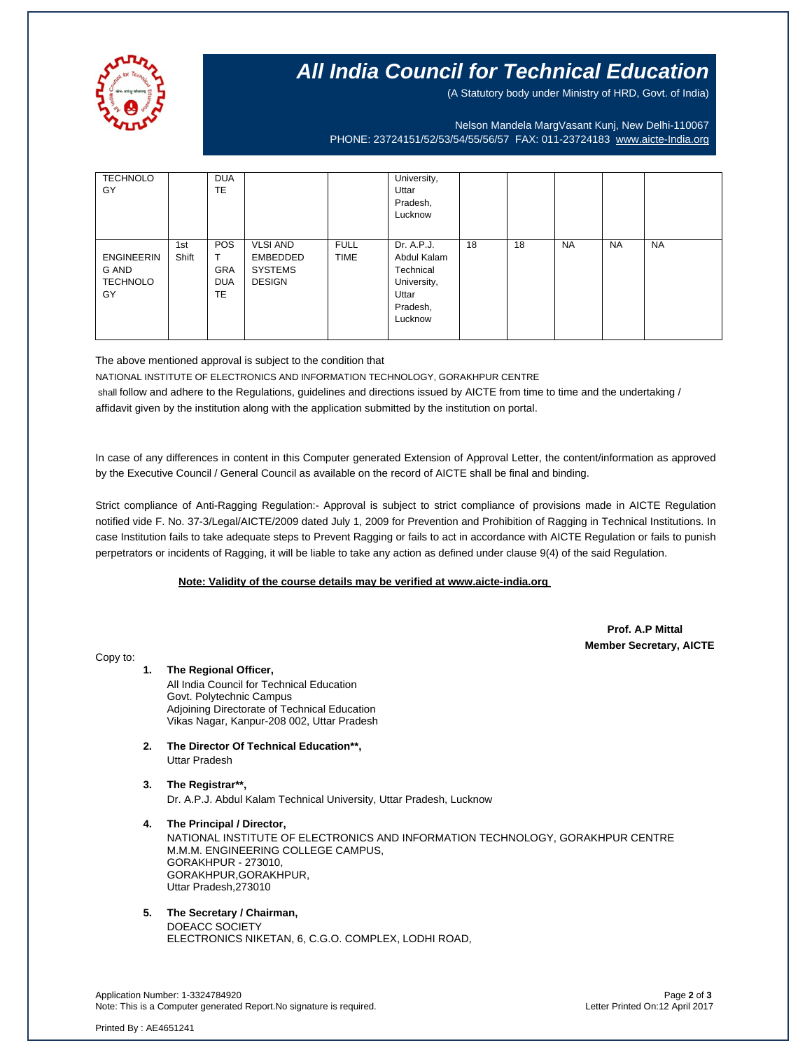

## **All India Council for Technical Education**

(A Statutory body under Ministry of HRD, Govt. of India)

Nelson Mandela MargVasant Kunj, New Delhi-110067 PHONE: 23724151/52/53/54/55/56/57 FAX: 011-23724183 [www.aicte-India.org](http://www.aicte-india.org/)

| <b>TECHNOLO</b><br>GY                               |              | <b>DUA</b><br><b>TE</b>                             |                                                                |                            | University,<br>Uttar<br>Pradesh,<br>Lucknow                                           |    |    |           |           |           |
|-----------------------------------------------------|--------------|-----------------------------------------------------|----------------------------------------------------------------|----------------------------|---------------------------------------------------------------------------------------|----|----|-----------|-----------|-----------|
| <b>ENGINEERIN</b><br>G AND<br><b>TECHNOLO</b><br>GY | 1st<br>Shift | <b>POS</b><br><b>GRA</b><br><b>DUA</b><br><b>TE</b> | <b>VLSI AND</b><br>EMBEDDED<br><b>SYSTEMS</b><br><b>DESIGN</b> | <b>FULL</b><br><b>TIME</b> | Dr. A.P.J.<br>Abdul Kalam<br>Technical<br>University,<br>Uttar<br>Pradesh,<br>Lucknow | 18 | 18 | <b>NA</b> | <b>NA</b> | <b>NA</b> |

The above mentioned approval is subject to the condition that

NATIONAL INSTITUTE OF ELECTRONICS AND INFORMATION TECHNOLOGY, GORAKHPUR CENTRE shall follow and adhere to the Regulations, guidelines and directions issued by AICTE from time to time and the undertaking / affidavit given by the institution along with the application submitted by the institution on portal.

In case of any differences in content in this Computer generated Extension of Approval Letter, the content/information as approved by the Executive Council / General Council as available on the record of AICTE shall be final and binding.

Strict compliance of Anti-Ragging Regulation:- Approval is subject to strict compliance of provisions made in AICTE Regulation notified vide F. No. 37-3/Legal/AICTE/2009 dated July 1, 2009 for Prevention and Prohibition of Ragging in Technical Institutions. In case Institution fails to take adequate steps to Prevent Ragging or fails to act in accordance with AICTE Regulation or fails to punish perpetrators or incidents of Ragging, it will be liable to take any action as defined under clause 9(4) of the said Regulation.

### **Note: Validity of the course details may be verified at www.aicte-india.org**

 **Prof. A.P Mittal Member Secretary, AICTE**

Copy to:

- **1. The Regional Officer,** All India Council for Technical Education Govt. Polytechnic Campus Adjoining Directorate of Technical Education Vikas Nagar, Kanpur-208 002, Uttar Pradesh
- **2. The Director Of Technical Education\*\*,** Uttar Pradesh
- **3. The Registrar\*\*,** Dr. A.P.J. Abdul Kalam Technical University, Uttar Pradesh, Lucknow
- **4. The Principal / Director,** NATIONAL INSTITUTE OF ELECTRONICS AND INFORMATION TECHNOLOGY, GORAKHPUR CENTRE M.M.M. ENGINEERING COLLEGE CAMPUS, GORAKHPUR - 273010, GORAKHPUR,GORAKHPUR, Uttar Pradesh,273010

**5. The Secretary / Chairman,** DOEACC SOCIETY ELECTRONICS NIKETAN, 6, C.G.O. COMPLEX, LODHI ROAD,

Application Number: 1-3324784920 Page **2** of **3** Note: This is a Computer generated Report.No signature is required.

Printed By : AE4651241